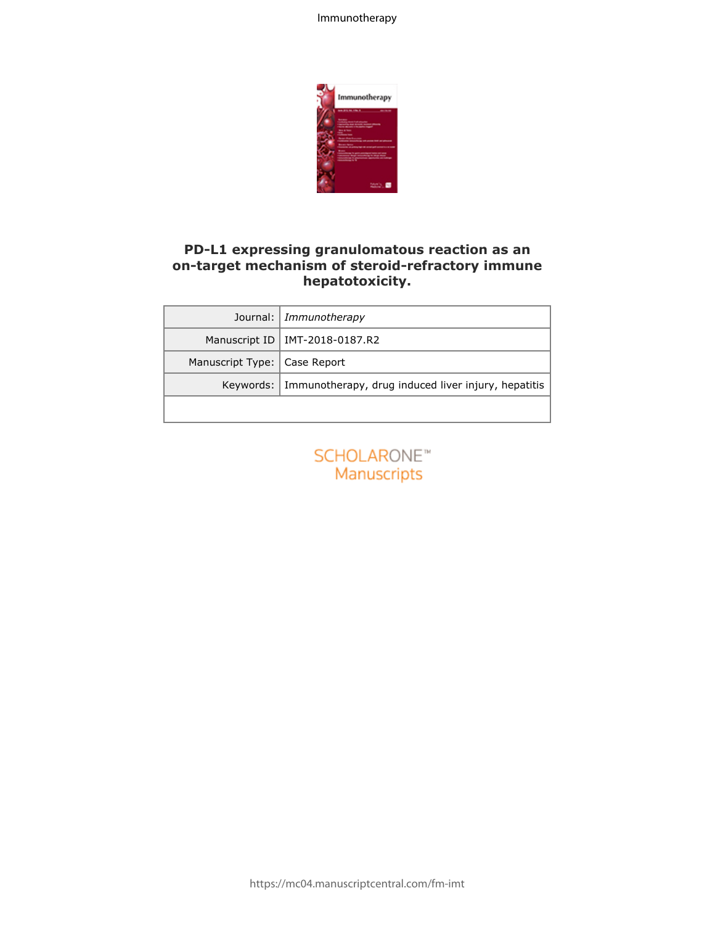Immunotherapy



## **PD-L1 expressing granulomatous reaction as an on-target mechanism of steroid-refractory immune hepatotoxicity.**

| Journal:         | Immunotherapy                                       |  |  |  |
|------------------|-----------------------------------------------------|--|--|--|
|                  |                                                     |  |  |  |
| Manuscript ID    | IMT-2018-0187.R2                                    |  |  |  |
| Manuscript Type: | Case Report                                         |  |  |  |
| Keywords:        | Immunotherapy, drug induced liver injury, hepatitis |  |  |  |
|                  |                                                     |  |  |  |
|                  | <b>SCHOLARONE™</b><br>Manuscripts                   |  |  |  |

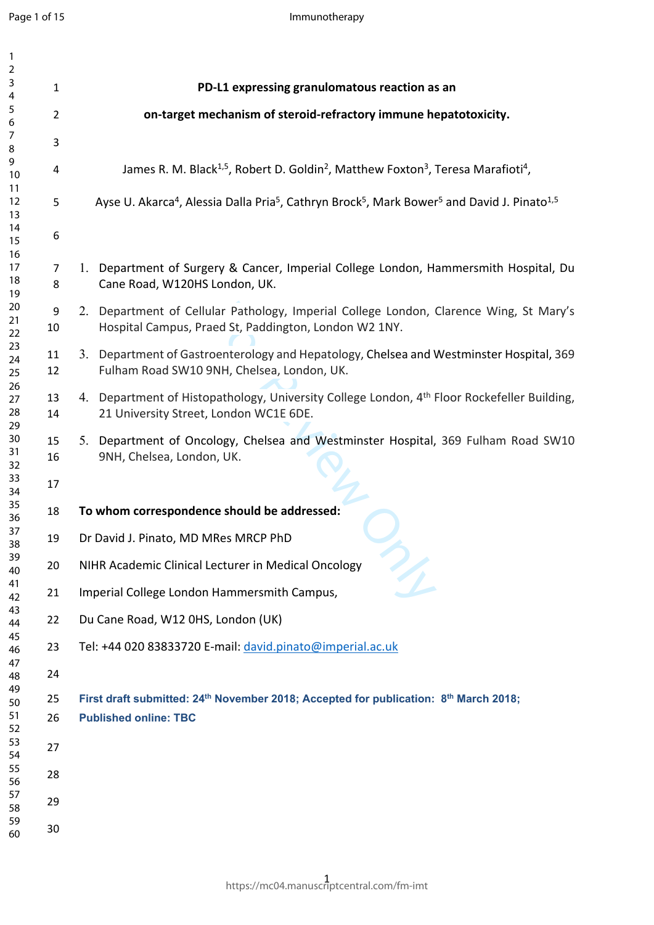| $\overline{\mathbf{1}}$<br>$\overline{2}$ |                        |                                                                                                                                                         |  |  |  |  |
|-------------------------------------------|------------------------|---------------------------------------------------------------------------------------------------------------------------------------------------------|--|--|--|--|
| 3<br>$\overline{\mathcal{A}}$             | $\mathbf 1$            | PD-L1 expressing granulomatous reaction as an                                                                                                           |  |  |  |  |
| 5<br>$\boldsymbol{6}$                     | $\overline{2}$         | on-target mechanism of steroid-refractory immune hepatotoxicity.                                                                                        |  |  |  |  |
| $\overline{7}$<br>$\, 8$                  | $\mathsf 3$            |                                                                                                                                                         |  |  |  |  |
| 9<br>10                                   | 4                      | James R. M. Black <sup>1,5</sup> , Robert D. Goldin <sup>2</sup> , Matthew Foxton <sup>3</sup> , Teresa Marafioti <sup>4</sup> ,                        |  |  |  |  |
| 11<br>12                                  | 5                      | Ayse U. Akarca <sup>4</sup> , Alessia Dalla Pria <sup>5</sup> , Cathryn Brock <sup>5</sup> , Mark Bower <sup>5</sup> and David J. Pinato <sup>1,5</sup> |  |  |  |  |
| 13<br>14<br>15                            | 6                      |                                                                                                                                                         |  |  |  |  |
| 16<br>17<br>18                            | 7<br>8                 | 1. Department of Surgery & Cancer, Imperial College London, Hammersmith Hospital, Du<br>Cane Road, W120HS London, UK.                                   |  |  |  |  |
| 19<br>20<br>21<br>22                      | $\boldsymbol{9}$<br>10 | 2. Department of Cellular Pathology, Imperial College London, Clarence Wing, St Mary's<br>Hospital Campus, Praed St, Paddington, London W2 1NY.         |  |  |  |  |
| 23<br>24<br>25                            | 11<br>12               | 3. Department of Gastroenterology and Hepatology, Chelsea and Westminster Hospital, 369<br>Fulham Road SW10 9NH, Chelsea, London, UK.                   |  |  |  |  |
| 26<br>27<br>28<br>29                      | 13<br>14               | 4. Department of Histopathology, University College London, 4 <sup>th</sup> Floor Rockefeller Building,<br>21 University Street, London WC1E 6DE.       |  |  |  |  |
| 30<br>31<br>32                            | 15<br>16               | Department of Oncology, Chelsea and Westminster Hospital, 369 Fulham Road SW10<br>5.<br>9NH, Chelsea, London, UK.                                       |  |  |  |  |
| 33<br>34                                  | 17                     |                                                                                                                                                         |  |  |  |  |
| 35<br>36                                  | 18                     | To whom correspondence should be addressed:                                                                                                             |  |  |  |  |
| 37<br>38<br>39<br>40                      | 19                     | Dr David J. Pinato, MD MRes MRCP PhD                                                                                                                    |  |  |  |  |
|                                           | 20                     | NIHR Academic Clinical Lecturer in Medical Oncology                                                                                                     |  |  |  |  |
| 41<br>42                                  | 21                     | Imperial College London Hammersmith Campus,                                                                                                             |  |  |  |  |
| 43<br>44<br>45                            | 22                     | Du Cane Road, W12 0HS, London (UK)                                                                                                                      |  |  |  |  |
| 46<br>47                                  | 23                     | Tel: +44 020 83833720 E-mail: david.pinato@imperial.ac.uk                                                                                               |  |  |  |  |
| 48<br>49                                  | 24                     |                                                                                                                                                         |  |  |  |  |
| 50<br>51                                  | 25<br>26               | First draft submitted: 24 <sup>th</sup> November 2018; Accepted for publication: 8 <sup>th</sup> March 2018;<br><b>Published online: TBC</b>            |  |  |  |  |
| 52<br>53                                  |                        |                                                                                                                                                         |  |  |  |  |
| 54<br>55                                  | 27                     |                                                                                                                                                         |  |  |  |  |
| 56<br>57                                  | 28                     |                                                                                                                                                         |  |  |  |  |
| 58<br>59                                  | 29<br>30               |                                                                                                                                                         |  |  |  |  |
| 60                                        |                        |                                                                                                                                                         |  |  |  |  |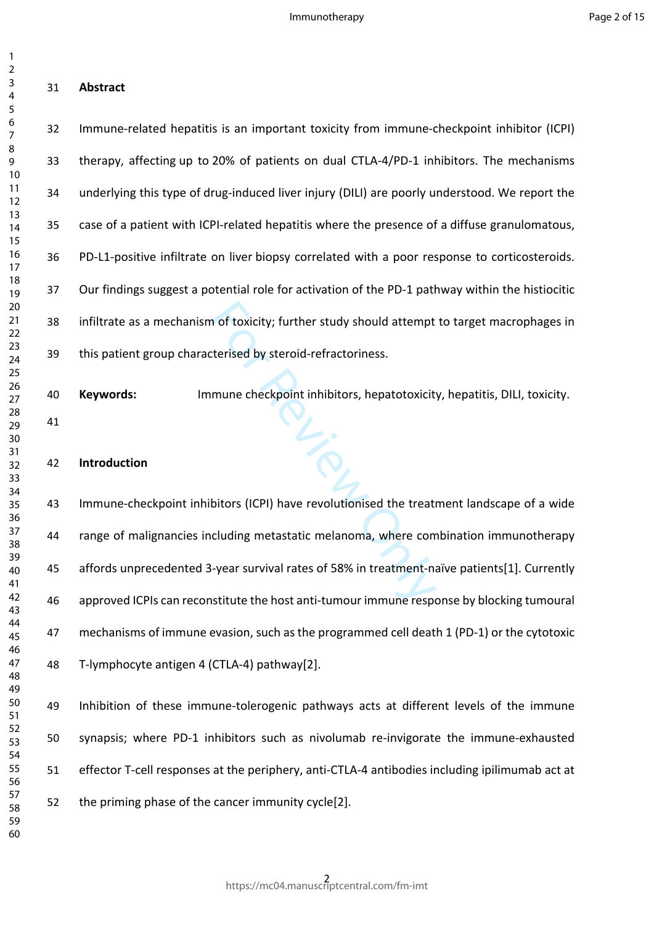# **Abstract**

 Immune-related hepatitis is an important toxicity from immune-checkpoint inhibitor (ICPI) therapy, affecting up to 20% of patients on dual CTLA-4/PD-1 inhibitors. The mechanisms underlying this type of drug-induced liver injury (DILI) are poorly understood. We report the case of a patient with ICPI-related hepatitis where the presence of a diffuse granulomatous, PD-L1-positive infiltrate on liver biopsy correlated with a poor response to corticosteroids. Our findings suggest a potential role for activation of the PD-1 pathway within the histiocitic infiltrate as a mechanism of toxicity; further study should attempt to target macrophages in this patient group characterised by steroid-refractoriness.

 **Keywords:** Immune checkpoint inhibitors, hepatotoxicity, hepatitis, DILI, toxicity. 

## **Introduction**

For Review Only Immune-checkpoint inhibitors (ICPI) have revolutionised the treatment landscape of a wide range of malignancies including metastatic melanoma, where combination immunotherapy affords unprecedented 3-year survival rates of 58% in treatment-naïve patients[1]. Currently approved ICPIs can reconstitute the host anti-tumour immune response by blocking tumoural mechanisms of immune evasion, such as the programmed cell death 1 (PD-1) or the cytotoxic T-lymphocyte antigen 4 (CTLA-4) pathway[2].

 Inhibition of these immune-tolerogenic pathways acts at different levels of the immune synapsis; where PD-1 inhibitors such as nivolumab re-invigorate the immune-exhausted effector T-cell responses at the periphery, anti-CTLA-4 antibodies including ipilimumab act at the priming phase of the cancer immunity cycle[2].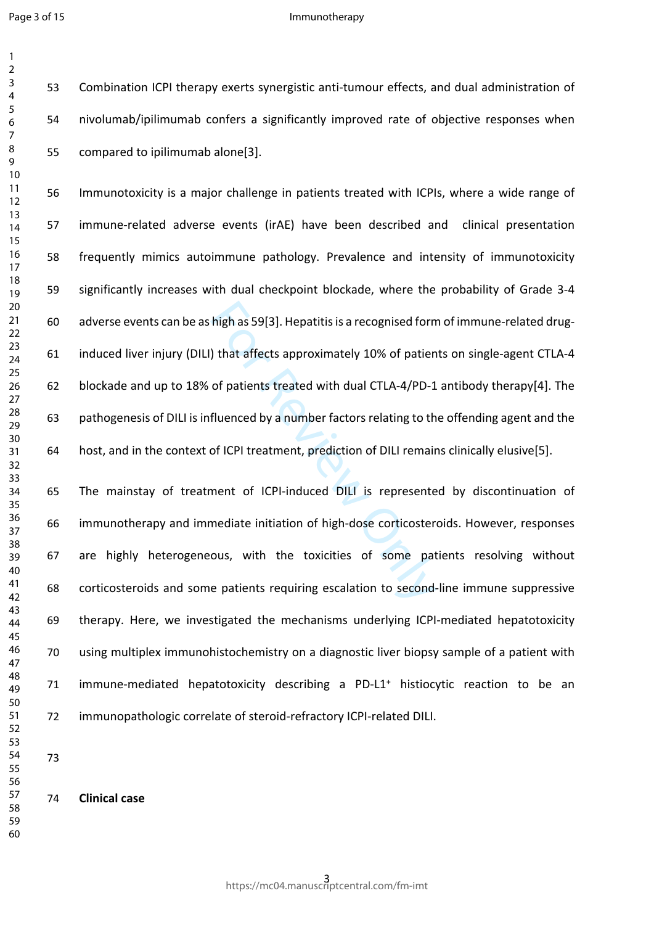$\mathbf{1}$  $\overline{2}$ 

#### Immunotherapy

 Combination ICPI therapy exerts synergistic anti-tumour effects, and dual administration of nivolumab/ipilimumab confers a significantly improved rate of objective responses when compared to ipilimumab alone[3].

high as 59[3]. Hepatitis is a recognised form<br>
) that affects approximately 10% of patien<br>
of patients treated with dual CTLA-4/PD-1<br>
fluenced by a number factors relating to th<br>
of ICPI treatment, prediction of DILI remai Immunotoxicity is a major challenge in patients treated with ICPIs, where a wide range of immune-related adverse events (irAE) have been described and clinical presentation frequently mimics autoimmune pathology. Prevalence and intensity of immunotoxicity significantly increases with dual checkpoint blockade, where the probability of Grade 3-4 adverse events can be as high as 59[3]. Hepatitis is a recognised form of immune-related drug- induced liver injury (DILI) that affects approximately 10% of patients on single-agent CTLA-4 blockade and up to 18% of patients treated with dual CTLA-4/PD-1 antibody therapy[4]. The pathogenesis of DILI is influenced by a number factors relating to the offending agent and the host, and in the context of ICPI treatment, prediction of DILI remains clinically elusive[5].

 The mainstay of treatment of ICPI-induced DILI is represented by discontinuation of immunotherapy and immediate initiation of high-dose corticosteroids. However, responses are highly heterogeneous, with the toxicities of some patients resolving without corticosteroids and some patients requiring escalation to second-line immune suppressive therapy. Here, we investigated the mechanisms underlying ICPI-mediated hepatotoxicity using multiplex immunohistochemistry on a diagnostic liver biopsy sample of a patient with 71 immune-mediated hepatotoxicity describing a PD-L1<sup>+</sup> histiocytic reaction to be an immunopathologic correlate of steroid-refractory ICPI-related DILI.

**Clinical case**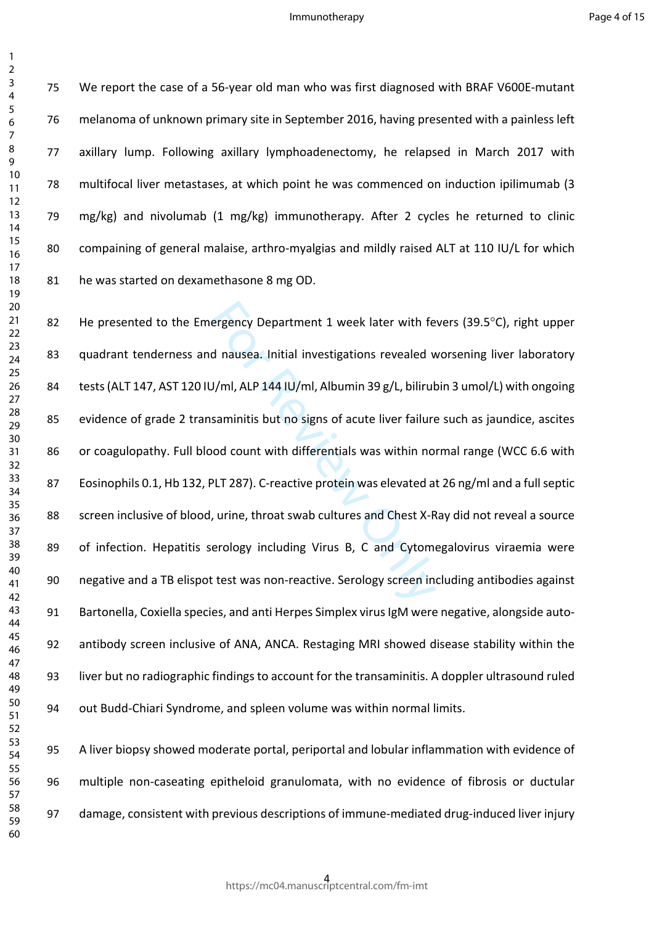Immunotherapy

 

 We report the case of a 56-year old man who was first diagnosed with BRAF V600E-mutant melanoma of unknown primary site in September 2016, having presented with a painless left axillary lump. Following axillary lymphoadenectomy, he relapsed in March 2017 with multifocal liver metastases, at which point he was commenced on induction ipilimumab (3 mg/kg) and nivolumab (1 mg/kg) immunotherapy. After 2 cycles he returned to clinic compaining of general malaise, arthro-myalgias and mildly raised ALT at 110 IU/L for which he was started on dexamethasone 8 mg OD.

ergency Department 1 week later with fe<br>d nausea. Initial investigations revealed v<br>J/ml, ALP 144 IU/ml, Albumin 39 g/L, biliruk<br>saminitis but no signs of acute liver failure<br>ood count with differentials was within no<br>PLT 82 He presented to the Emergency Department 1 week later with fevers (39.5°C), right upper quadrant tenderness and nausea. Initial investigations revealed worsening liver laboratory tests (ALT 147, AST 120 IU/ml, ALP 144 IU/ml, Albumin 39 g/L, bilirubin 3 umol/L) with ongoing evidence of grade 2 transaminitis but no signs of acute liver failure such as jaundice, ascites or coagulopathy. Full blood count with differentials was within normal range (WCC 6.6 with Eosinophils 0.1, Hb 132, PLT 287). C-reactive protein was elevated at 26 ng/ml and a full septic screen inclusive of blood, urine, throat swab cultures and Chest X-Ray did not reveal a source of infection. Hepatitis serology including Virus B, C and Cytomegalovirus viraemia were negative and a TB elispot test was non-reactive. Serology screen including antibodies against Bartonella, Coxiella species, and anti Herpes Simplex virus IgM were negative, alongside auto- antibody screen inclusive of ANA, ANCA. Restaging MRI showed disease stability within the liver but no radiographic findings to account for the transaminitis. A doppler ultrasound ruled out Budd-Chiari Syndrome, and spleen volume was within normal limits.

 A liver biopsy showed moderate portal, periportal and lobular inflammation with evidence of multiple non-caseating epitheloid granulomata, with no evidence of fibrosis or ductular damage, consistent with previous descriptions of immune-mediated drug-induced liver injury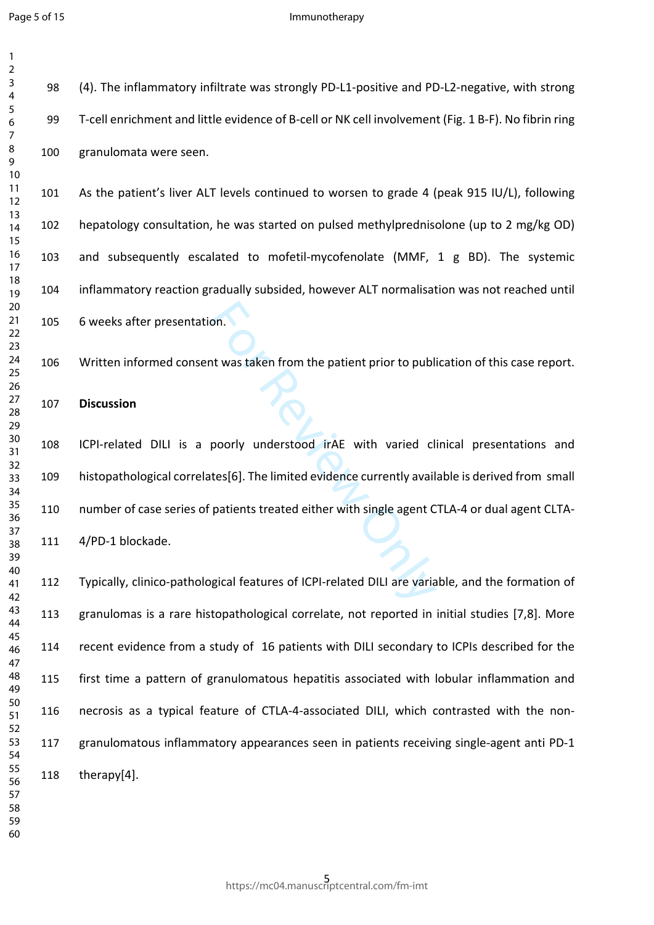$\mathbf{1}$  $\overline{2}$ 

#### Immunotherapy

 (4). The inflammatory infiltrate was strongly PD-L1-positive and PD-L2-negative, with strong T-cell enrichment and little evidence of B-cell or NK cell involvement (Fig. 1 B-F). No fibrin ring granulomata were seen.

 As the patient's liver ALT levels continued to worsen to grade 4 (peak 915 IU/L), following hepatology consultation, he was started on pulsed methylprednisolone (up to 2 mg/kg OD) and subsequently escalated to mofetil-mycofenolate (MMF, 1 g BD). The systemic inflammatory reaction gradually subsided, however ALT normalisation was not reached until 6 weeks after presentation.

Written informed consent was taken from the patient prior to publication of this case report.

### **Discussion**

on.<br>
In was taken from the patient prior to publ<br>
poorly understood irAE with varied cl<br>
tes[6]. The limited evidence currently avail<br>
patients treated either with single agent C<br>
gical features of ICPI-related DILI are va ICPI-related DILI is a poorly understood irAE with varied clinical presentations and histopathological correlates[6]. The limited evidence currently available is derived from small number of case series of patients treated either with single agent CTLA-4 or dual agent CLTA-4/PD-1 blockade.

 Typically, clinico-pathological features of ICPI-related DILI are variable, and the formation of granulomas is a rare histopathological correlate, not reported in initial studies [7,8]. More recent evidence from a study of 16 patients with DILI secondary to ICPIs described for the first time a pattern of granulomatous hepatitis associated with lobular inflammation and necrosis as a typical feature of CTLA-4-associated DILI, which contrasted with the non- granulomatous inflammatory appearances seen in patients receiving single-agent anti PD-1 therapy[4].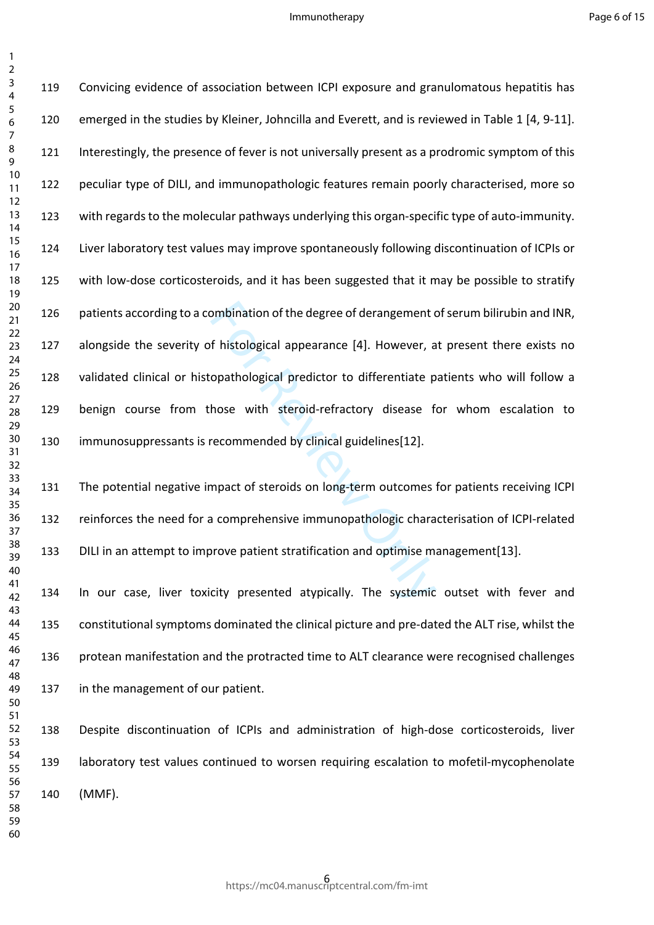### Immunotherapy

Superinted the degree of derangement of<br>
f histological appearance [4]. However, a<br>
opathological predictor to differentiate p<br>
hose with steroid-refractory disease f<br>
recommended by clinical guidelines[12].<br>
mpact of ster Convicing evidence of association between ICPI exposure and granulomatous hepatitis has emerged in the studies by Kleiner, Johncilla and Everett, and is reviewed in Table 1 [4, 9-11]. Interestingly, the presence of fever is not universally present as a prodromic symptom of this peculiar type of DILI, and immunopathologic features remain poorly characterised, more so with regards to the molecular pathways underlying this organ-specific type of auto-immunity. Liver laboratory test values may improve spontaneously following discontinuation of ICPIs or with low-dose corticosteroids, and it has been suggested that it may be possible to stratify patients according to a combination of the degree of derangement of serum bilirubin and INR, alongside the severity of histological appearance [4]. However, at present there exists no validated clinical or histopathological predictor to differentiate patients who will follow a benign course from those with steroid-refractory disease for whom escalation to immunosuppressants is recommended by clinical guidelines[12]. The potential negative impact of steroids on long-term outcomes for patients receiving ICPI reinforces the need for a comprehensive immunopathologic characterisation of ICPI-related DILI in an attempt to improve patient stratification and optimise management[13]. In our case, liver toxicity presented atypically. The systemic outset with fever and constitutional symptoms dominated the clinical picture and pre-dated the ALT rise, whilst the protean manifestation and the protracted time to ALT clearance were recognised challenges in the management of our patient. Despite discontinuation of ICPIs and administration of high-dose corticosteroids, liver laboratory test values continued to worsen requiring escalation to mofetil-mycophenolate (MMF).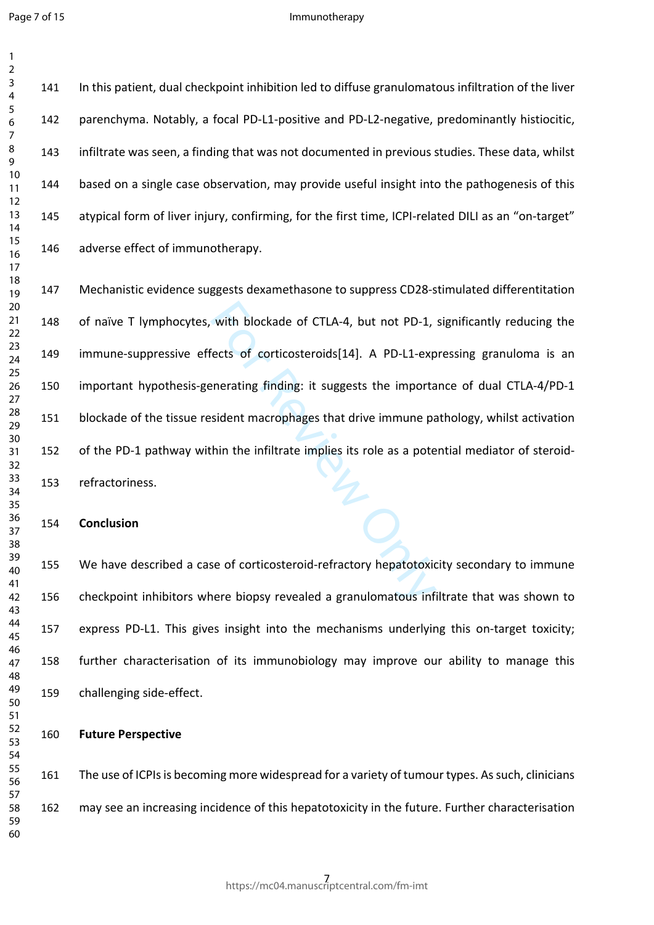$\mathbf{1}$ 

#### Immunotherapy

 In this patient, dual checkpoint inhibition led to diffuse granulomatous infiltration of the liver parenchyma. Notably, a focal PD-L1-positive and PD-L2-negative, predominantly histiocitic, infiltrate was seen, a finding that was not documented in previous studies. These data, whilst based on a single case observation, may provide useful insight into the pathogenesis of this atypical form of liver injury, confirming, for the first time, ICPI-related DILI as an "on-target" adverse effect of immunotherapy.

with blockade of CTLA-4, but not PD-1,<br>
iects of corticosteroids[14]. A PD-L1-exp<br>
enerating finding: it suggests the importa<br>
sident macrophages that drive immune pa<br>
sident macrophages that drive immune pa<br>
hin the infil Mechanistic evidence suggests dexamethasone to suppress CD28-stimulated differentitation of naïve T lymphocytes, with blockade of CTLA-4, but not PD-1, significantly reducing the immune-suppressive effects of corticosteroids[14]. A PD-L1-expressing granuloma is an important hypothesis-generating finding: it suggests the importance of dual CTLA-4/PD-1 blockade of the tissue resident macrophages that drive immune pathology, whilst activation of the PD-1 pathway within the infiltrate implies its role as a potential mediator of steroid-refractoriness.

### **Conclusion**

 We have described a case of corticosteroid-refractory hepatotoxicity secondary to immune checkpoint inhibitors where biopsy revealed a granulomatous infiltrate that was shown to express PD-L1. This gives insight into the mechanisms underlying this on-target toxicity; further characterisation of its immunobiology may improve our ability to manage this challenging side-effect.

**Future Perspective**

 The use of ICPIs is becoming more widespread for a variety of tumour types. As such, clinicians may see an increasing incidence of this hepatotoxicity in the future. Further characterisation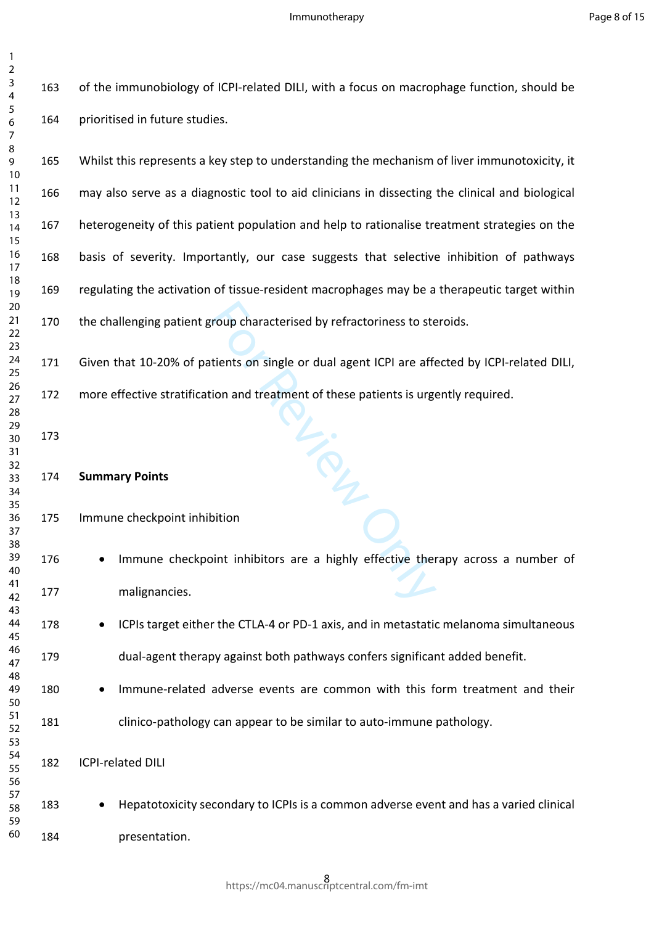| $\overline{2}$<br>3                                   |         |
|-------------------------------------------------------|---------|
| 4                                                     | 163     |
| 5<br>6<br>7                                           | 164     |
| 8                                                     |         |
| 9<br>10                                               | 165     |
| 11<br>12                                              | 166     |
| 13<br>14<br>15                                        | 167     |
| 16<br>17                                              | 168     |
| 18<br>19                                              | 169     |
| $\overline{20}$<br>$\overline{21}$<br>$\overline{22}$ | 170     |
| $\overline{23}$<br>24<br>$\overline{25}$              | 171     |
| 26<br>$\overline{27}$                                 | 172     |
| 28<br>29<br>30                                        | 173     |
| 31<br>32                                              |         |
| 33<br>34                                              | 174     |
| 35<br>36                                              | 175     |
| 37<br>38                                              |         |
| 39<br>40                                              | L7<br>b |
| 41<br>42                                              | 177     |
| 43<br>44<br>45                                        | 178     |
| 46<br>47                                              | 179     |
| 48<br>49<br>50                                        | 180     |
| 51<br>52                                              | 181     |
| 53<br>54<br>55<br>56                                  | 182     |
| 57<br>58<br>59                                        | 183     |
| 60                                                    | 184     |

 of the immunobiology of ICPI-related DILI, with a focus on macrophage function, should be 64 prioritised in future studies.

 Whilst this represents a key step to understanding the mechanism of liver immunotoxicity, it may also serve as a diagnostic tool to aid clinicians in dissecting the clinical and biological heterogeneity of this patient population and help to rationalise treatment strategies on the basis of severity. Importantly, our case suggests that selective inhibition of pathways regulating the activation of tissue-resident macrophages may be a therapeutic target within the challenging patient group characterised by refractoriness to steroids.

Given that 10-20% of patients on single or dual agent ICPI are affected by ICPI-related DILI,

more effective stratification and treatment of these patients is urgently required.

**Summary Points**

Immune checkpoint inhibition

- Francular CPI are affected by refractoriness to state<br>tients on single or dual agent ICPI are affection and treatment of these patients is urge<br>tion and treatment of these patients is urge<br>bition<br>bition Immune checkpoint inhibitors are a highly effective therapy across a number of malignancies.
- ICPIs target either the CTLA-4 or PD-1 axis, and in metastatic melanoma simultaneous
- dual-agent therapy against both pathways confers significant added benefit.
- 80 Immune-related adverse events are common with this form treatment and their
	- clinico-pathology can appear to be similar to auto-immune pathology.
- ICPI-related DILI
- **•** Hepatotoxicity secondary to ICPIs is a common adverse event and has a varied clinical
- **presentation**.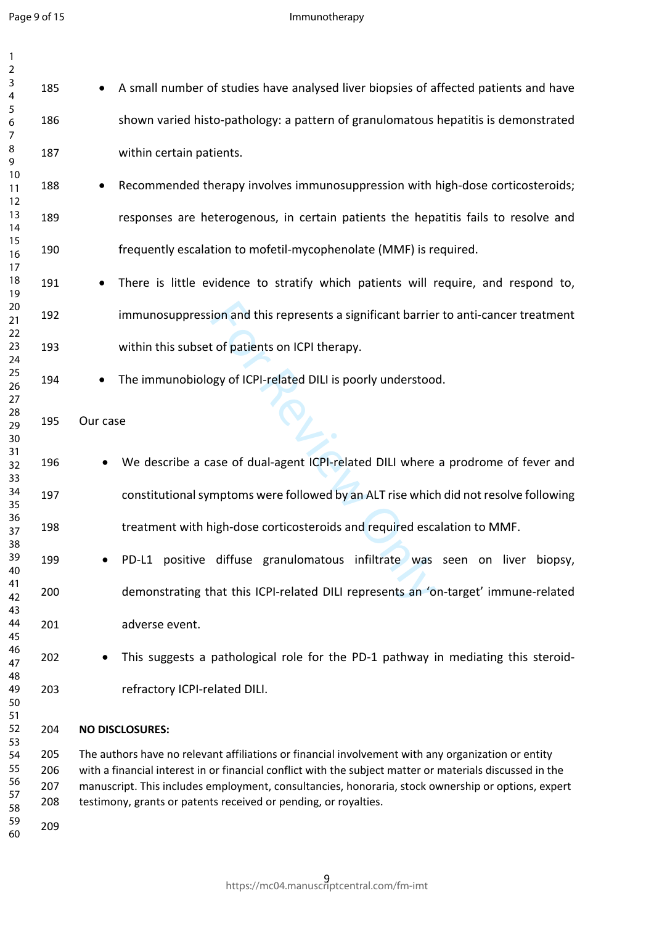| $\overline{\mathbf{1}}$<br>$\mathbf 2$ |                                                              |                                                                                                                                                                                                                                                                                                                                                                                         |  |  |  |  |
|----------------------------------------|--------------------------------------------------------------|-----------------------------------------------------------------------------------------------------------------------------------------------------------------------------------------------------------------------------------------------------------------------------------------------------------------------------------------------------------------------------------------|--|--|--|--|
| $\mathsf 3$<br>$\overline{4}$          | 185                                                          | A small number of studies have analysed liver biopsies of affected patients and have                                                                                                                                                                                                                                                                                                    |  |  |  |  |
| $\sqrt{5}$<br>6<br>7                   | 186                                                          | shown varied histo-pathology: a pattern of granulomatous hepatitis is demonstrated                                                                                                                                                                                                                                                                                                      |  |  |  |  |
| 8<br>9                                 | 187                                                          | within certain patients.                                                                                                                                                                                                                                                                                                                                                                |  |  |  |  |
| 10<br>11<br>12                         | 188                                                          | Recommended therapy involves immunosuppression with high-dose corticosteroids;                                                                                                                                                                                                                                                                                                          |  |  |  |  |
| 13<br>14                               | 189                                                          | responses are heterogenous, in certain patients the hepatitis fails to resolve and                                                                                                                                                                                                                                                                                                      |  |  |  |  |
| 15<br>16                               | 190                                                          | frequently escalation to mofetil-mycophenolate (MMF) is required.                                                                                                                                                                                                                                                                                                                       |  |  |  |  |
| 17<br>18<br>19                         | 191                                                          | There is little evidence to stratify which patients will require, and respond to,                                                                                                                                                                                                                                                                                                       |  |  |  |  |
| 20<br>21                               | 192                                                          | immunosuppression and this represents a significant barrier to anti-cancer treatment                                                                                                                                                                                                                                                                                                    |  |  |  |  |
| 22<br>23<br>24                         | 193                                                          | within this subset of patients on ICPI therapy.                                                                                                                                                                                                                                                                                                                                         |  |  |  |  |
| 25<br>26                               | The immunobiology of ICPI-related DILI is poorly understood. |                                                                                                                                                                                                                                                                                                                                                                                         |  |  |  |  |
| 27<br>28<br>29<br>30                   | 195                                                          | Our case                                                                                                                                                                                                                                                                                                                                                                                |  |  |  |  |
| 31<br>32<br>33                         | 196                                                          | We describe a case of dual-agent ICPI-related DILI where a prodrome of fever and                                                                                                                                                                                                                                                                                                        |  |  |  |  |
| 34<br>35                               | 197                                                          | constitutional symptoms were followed by an ALT rise which did not resolve following                                                                                                                                                                                                                                                                                                    |  |  |  |  |
| 36<br>37                               | 198                                                          | treatment with high-dose corticosteroids and required escalation to MMF.                                                                                                                                                                                                                                                                                                                |  |  |  |  |
| 38<br>39<br>40                         | 199                                                          | PD-L1 positive diffuse granulomatous infiltrate was seen on liver biopsy,                                                                                                                                                                                                                                                                                                               |  |  |  |  |
| 41<br>42                               | 200                                                          | demonstrating that this ICPI-related DILI represents an 'on-target' immune-related                                                                                                                                                                                                                                                                                                      |  |  |  |  |
| 43<br>44<br>45                         | 201                                                          | adverse event.                                                                                                                                                                                                                                                                                                                                                                          |  |  |  |  |
| 46<br>47                               | 202                                                          | This suggests a pathological role for the PD-1 pathway in mediating this steroid-                                                                                                                                                                                                                                                                                                       |  |  |  |  |
| 48<br>49<br>50                         | 203                                                          | refractory ICPI-related DILI.                                                                                                                                                                                                                                                                                                                                                           |  |  |  |  |
| 51<br>52                               | 204                                                          | <b>NO DISCLOSURES:</b>                                                                                                                                                                                                                                                                                                                                                                  |  |  |  |  |
| 53<br>54<br>55<br>56<br>57<br>58<br>59 | 205<br>206<br>207<br>208<br>209                              | The authors have no relevant affiliations or financial involvement with any organization or entity<br>with a financial interest in or financial conflict with the subject matter or materials discussed in the<br>manuscript. This includes employment, consultancies, honoraria, stock ownership or options, expert<br>testimony, grants or patents received or pending, or royalties. |  |  |  |  |
| 60                                     |                                                              |                                                                                                                                                                                                                                                                                                                                                                                         |  |  |  |  |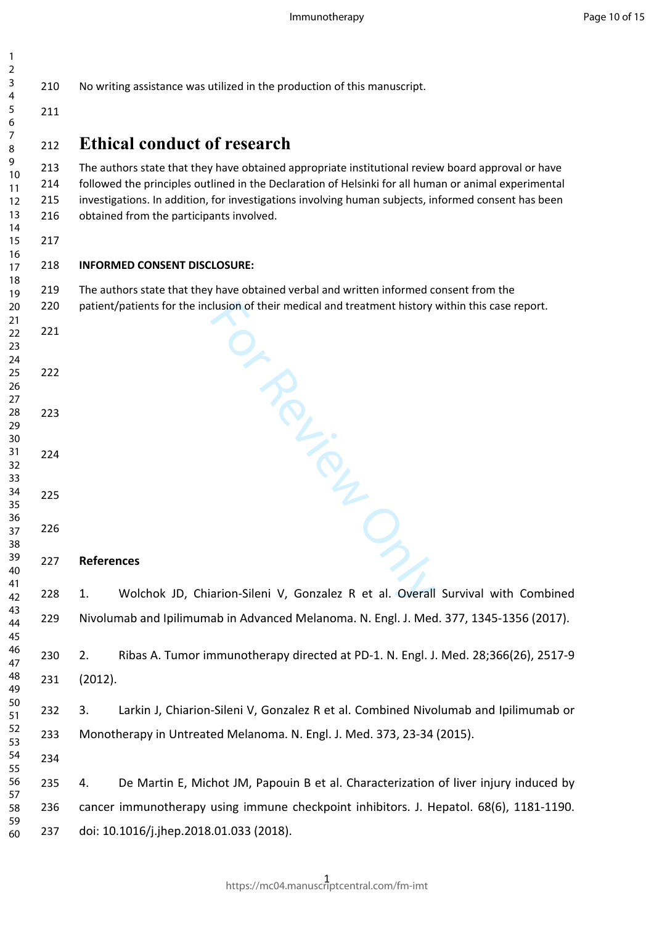| $\overline{2}$<br>$\mathsf 3$   | 210        | No writing assistance was utilized in the production of this manuscript.                                                                                                                                  |  |  |  |  |  |
|---------------------------------|------------|-----------------------------------------------------------------------------------------------------------------------------------------------------------------------------------------------------------|--|--|--|--|--|
| $\overline{4}$<br>$\sqrt{5}$    | 211        |                                                                                                                                                                                                           |  |  |  |  |  |
| 6<br>7                          |            |                                                                                                                                                                                                           |  |  |  |  |  |
| 8                               | 212        | <b>Ethical conduct of research</b>                                                                                                                                                                        |  |  |  |  |  |
| 9<br>10<br>11<br>12<br>13<br>14 | 213        | The authors state that they have obtained appropriate institutional review board approval or have<br>followed the principles outlined in the Declaration of Helsinki for all human or animal experimental |  |  |  |  |  |
|                                 | 214<br>215 | investigations. In addition, for investigations involving human subjects, informed consent has been                                                                                                       |  |  |  |  |  |
|                                 | 216        | obtained from the participants involved.                                                                                                                                                                  |  |  |  |  |  |
| 15<br>16                        | 217        |                                                                                                                                                                                                           |  |  |  |  |  |
| 17                              | 218        | <b>INFORMED CONSENT DISCLOSURE:</b>                                                                                                                                                                       |  |  |  |  |  |
| 18<br>19                        | 219        | The authors state that they have obtained verbal and written informed consent from the                                                                                                                    |  |  |  |  |  |
| 20<br>21                        | 220        | patient/patients for the inclusion of their medical and treatment history within this case report.                                                                                                        |  |  |  |  |  |
| 22<br>23                        | 221        | Ormans                                                                                                                                                                                                    |  |  |  |  |  |
| 24                              |            |                                                                                                                                                                                                           |  |  |  |  |  |
| 25<br>26                        | 222        |                                                                                                                                                                                                           |  |  |  |  |  |
| 27<br>28                        | 223        |                                                                                                                                                                                                           |  |  |  |  |  |
| 29<br>30                        |            |                                                                                                                                                                                                           |  |  |  |  |  |
| 31<br>32                        | 224        |                                                                                                                                                                                                           |  |  |  |  |  |
| 33                              |            |                                                                                                                                                                                                           |  |  |  |  |  |
| 34<br>35                        | 225        |                                                                                                                                                                                                           |  |  |  |  |  |
| 36<br>37                        | 226        |                                                                                                                                                                                                           |  |  |  |  |  |
| 38<br>39                        |            |                                                                                                                                                                                                           |  |  |  |  |  |
| 40                              | 227        | <b>References</b>                                                                                                                                                                                         |  |  |  |  |  |
| 41<br>42<br>43<br>44            | 228        | Wolchok JD, Chiarion-Sileni V, Gonzalez R et al. Overall Survival with Combined<br>1.                                                                                                                     |  |  |  |  |  |
|                                 | 229        | Nivolumab and Ipilimumab in Advanced Melanoma. N. Engl. J. Med. 377, 1345-1356 (2017).                                                                                                                    |  |  |  |  |  |
| 45<br>46                        |            |                                                                                                                                                                                                           |  |  |  |  |  |
| 47<br>48                        | 230        | Ribas A. Tumor immunotherapy directed at PD-1. N. Engl. J. Med. 28;366(26), 2517-9<br>2.                                                                                                                  |  |  |  |  |  |
| 49                              | 231        | (2012).                                                                                                                                                                                                   |  |  |  |  |  |
| 50<br>51                        | 232        | Larkin J, Chiarion-Sileni V, Gonzalez R et al. Combined Nivolumab and Ipilimumab or<br>3.                                                                                                                 |  |  |  |  |  |
| 52<br>53<br>54<br>55            | 233        | Monotherapy in Untreated Melanoma. N. Engl. J. Med. 373, 23-34 (2015).                                                                                                                                    |  |  |  |  |  |
|                                 | 234        |                                                                                                                                                                                                           |  |  |  |  |  |
| 56                              | 235        | De Martin E, Michot JM, Papouin B et al. Characterization of liver injury induced by<br>4.                                                                                                                |  |  |  |  |  |
| 57<br>58                        | 236        | cancer immunotherapy using immune checkpoint inhibitors. J. Hepatol. 68(6), 1181-1190.                                                                                                                    |  |  |  |  |  |
| 59<br>60                        | 237        | doi: 10.1016/j.jhep.2018.01.033 (2018).                                                                                                                                                                   |  |  |  |  |  |
|                                 |            |                                                                                                                                                                                                           |  |  |  |  |  |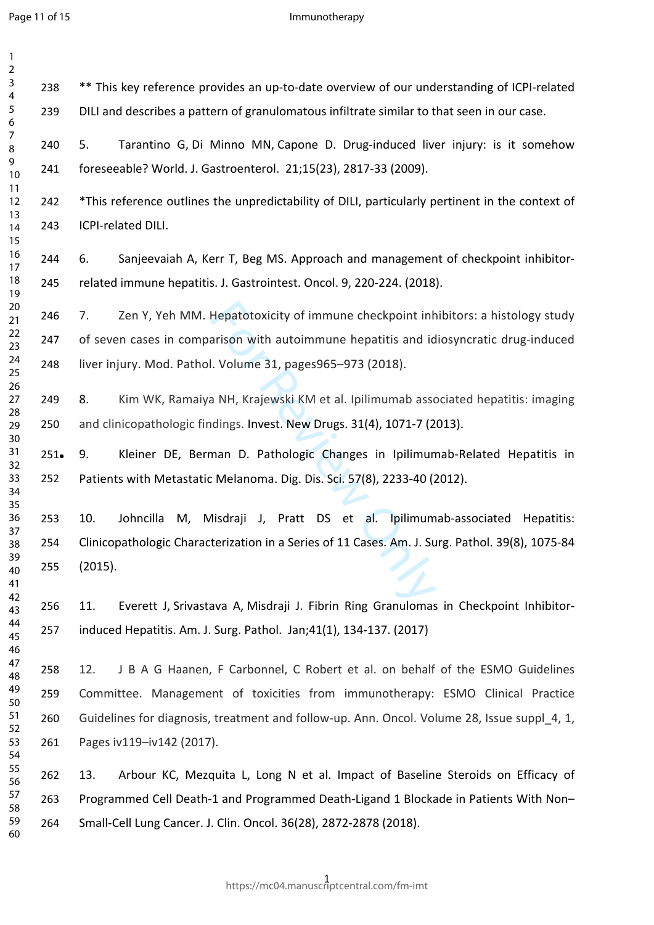$\mathbf{1}$ 

### Immunotherapy

| $\mathbf{1}$<br>$\overline{2}$ |              |                                                                                                 |  |  |  |  |
|--------------------------------|--------------|-------------------------------------------------------------------------------------------------|--|--|--|--|
| 3<br>4                         | 238          | ** This key reference provides an up-to-date overview of our understanding of ICPI-related      |  |  |  |  |
| 5<br>6                         | 239          | DILI and describes a pattern of granulomatous infiltrate similar to that seen in our case.      |  |  |  |  |
| 7<br>8                         | 240          | Tarantino G, Di Minno MN, Capone D. Drug-induced liver injury: is it somehow<br>5.              |  |  |  |  |
| 9<br>10<br>11                  | 241          | foreseeable? World. J. Gastroenterol. 21;15(23), 2817-33 (2009).                                |  |  |  |  |
| 12<br>13                       | 242          | *This reference outlines the unpredictability of DILI, particularly pertinent in the context of |  |  |  |  |
| 14<br>15                       | 243          | ICPI-related DILI.                                                                              |  |  |  |  |
| 16<br>17                       | 244          | Sanjeevaiah A, Kerr T, Beg MS. Approach and management of checkpoint inhibitor-<br>6.           |  |  |  |  |
| 18<br>19                       | 245          | related immune hepatitis. J. Gastrointest. Oncol. 9, 220-224. (2018).                           |  |  |  |  |
| 20<br>21                       | 246          | Zen Y, Yeh MM. Hepatotoxicity of immune checkpoint inhibitors: a histology study<br>7.          |  |  |  |  |
| 22<br>23                       | 247          | of seven cases in comparison with autoimmune hepatitis and idiosyncratic drug-induced           |  |  |  |  |
| 24<br>25<br>26                 | 248          | liver injury. Mod. Pathol. Volume 31, pages965-973 (2018).                                      |  |  |  |  |
| 27                             | 249          | 8.<br>Kim WK, Ramaiya NH, Krajewski KM et al. Ipilimumab associated hepatitis: imaging          |  |  |  |  |
| 28<br>29<br>30                 | 250          | and clinicopathologic findings. Invest. New Drugs. 31(4), 1071-7 (2013).                        |  |  |  |  |
| 31<br>32                       | $251\bullet$ | Kleiner DE, Berman D. Pathologic Changes in Ipilimumab-Related Hepatitis in<br>9.               |  |  |  |  |
| 33<br>34                       | 252          | Patients with Metastatic Melanoma. Dig. Dis. Sci. 57(8), 2233-40 (2012).                        |  |  |  |  |
| 35<br>36                       | 253          | 10.<br>M, Misdraji J, Pratt DS et al. Ipilimumab-associated Hepatitis:<br>Johncilla             |  |  |  |  |
| 37<br>38                       | 254          | Clinicopathologic Characterization in a Series of 11 Cases. Am. J. Surg. Pathol. 39(8), 1075-84 |  |  |  |  |
| 39<br>40<br>41                 | 255          | (2015).                                                                                         |  |  |  |  |
| 42<br>43                       | 256          | Everett J, Srivastava A, Misdraji J. Fibrin Ring Granulomas in Checkpoint Inhibitor-<br>11.     |  |  |  |  |
| 44<br>45                       | 257          | induced Hepatitis. Am. J. Surg. Pathol. Jan;41(1), 134-137. (2017)                              |  |  |  |  |
| 46<br>47<br>48                 | 258          | J B A G Haanen, F Carbonnel, C Robert et al. on behalf of the ESMO Guidelines<br>12.            |  |  |  |  |
| 49<br>50                       | 259          | Committee. Management of toxicities from immunotherapy: ESMO Clinical Practice                  |  |  |  |  |
| 51                             | 260          | Guidelines for diagnosis, treatment and follow-up. Ann. Oncol. Volume 28, Issue suppl 4, 1,     |  |  |  |  |
| 52<br>53<br>54                 | 261          | Pages iv119-iv142 (2017).                                                                       |  |  |  |  |
| 55<br>56                       | 262          | 13.<br>Arbour KC, Mezquita L, Long N et al. Impact of Baseline Steroids on Efficacy of          |  |  |  |  |
| 57<br>58                       | 263          | Programmed Cell Death-1 and Programmed Death-Ligand 1 Blockade in Patients With Non-            |  |  |  |  |
|                                |              |                                                                                                 |  |  |  |  |

 [Small-Cell Lung Cancer](http://ascopubs.org/doi/abs/10.1200/JCO.2018.79.0006). J. Clin. Oncol. 36(28), 2872-2878 (2018).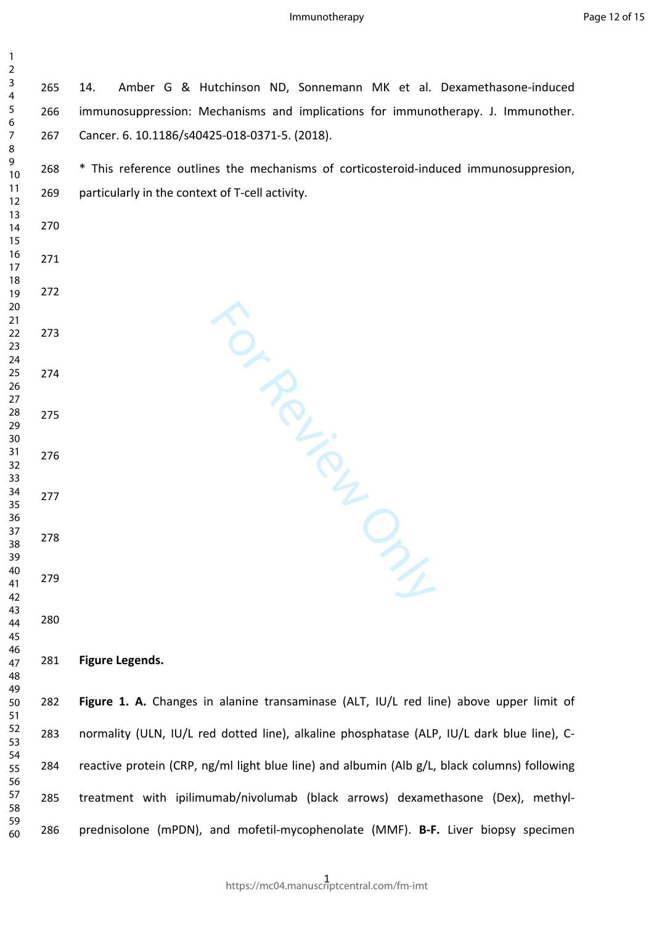| 3<br>4                             | 265 |
|------------------------------------|-----|
| 5                                  | 266 |
| 6<br>7                             | 267 |
| 8<br>9                             |     |
| 10<br>11                           | 268 |
| 12                                 | 269 |
| 13<br>14                           | 270 |
| 15<br>16<br>17                     | 271 |
| 18<br>19                           | 272 |
| 20                                 |     |
| $\overline{21}$<br>$\overline{22}$ | 273 |
| 23<br>24                           |     |
| 25<br>26                           | 274 |
| $\overline{27}$<br>28              | 275 |
| 29<br>30                           |     |
| 31                                 | 276 |
| 32<br>33                           |     |
| 34<br>35                           | 277 |
| 36<br>37                           |     |
| 38<br>39                           | 278 |
| 40                                 | 279 |
| 41<br>42                           |     |
| 43<br>44                           | 280 |
| 45<br>46                           |     |
| 47<br>48                           | 281 |
| 49                                 |     |
| 50<br>51                           | 282 |
| 52<br>53                           | 283 |
| 54<br>55                           | 284 |
| 56                                 |     |
| 57<br>58                           | 285 |
| 59                                 |     |

**Figure Legends.** 

14. Amber G & Hutchinson ND, Sonnemann MK et al. Dexamethasone-induced immunosuppression: Mechanisms and implications for immunotherapy. J. Immunother. Cancer. 6. 10.1186/s40425-018-0371-5. (2018).

<sup>\*</sup> This reference outlines the mechanisms of corticosteroid-induced immunosuppresion, particularly in the context of T-cell activity.

For Review Only

Figure 1. A. Changes in alanine transaminase (ALT, IU/L red line) above upper limit of normality (ULN, IU/L red dotted line), alkaline phosphatase (ALP, IU/L dark blue line), Creactive protein (CRP, ng/ml light blue line) and albumin (Alb g/L, black columns) following treatment with ipilimumab/nivolumab (black arrows) dexamethasone (Dex), methyl- prednisolone (mPDN), and mofetil-mycophenolate (MMF). **B-F.** Liver biopsy specimen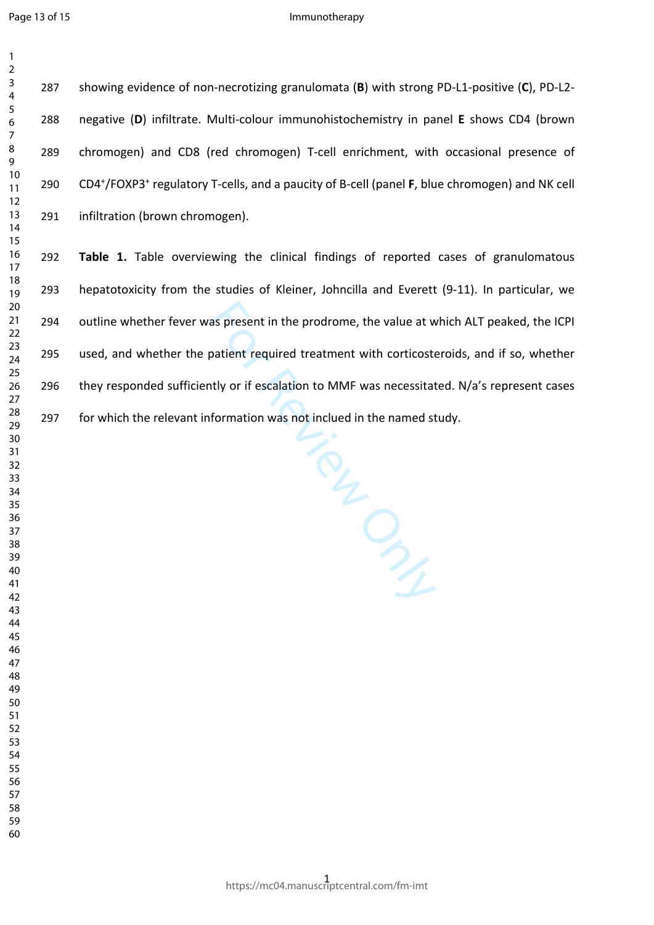$\mathbf{1}$ 

### Immunotherapy

 

 showing evidence of non-necrotizing granulomata ( **B**) with strong PD-L1-positive ( **C**), PD-L2- negative ( **D**) infiltrate. Multi-colour immunohistochemistry in panel **E** shows CD4 (brown chromogen) and CD8 (red chromogen) T-cell enrichment, with occasional presence of 290 CD4<sup>+</sup>/FOXP3<sup>+</sup> regulatory T-cells, and a paucity of B-cell (panel F, blue chromogen) and NK cell infiltration (brown chromogen).

 **Table 1.** Table overviewing the clinical findings of reported cases of granulomatous hepatotoxicity from the studies of Kleiner, Johncilla and Everett (9-11). In particular, we outline whether fever was present in the prodrome, the value at which ALT peaked, the ICPI used, and whether the patient required treatment with corticosteroids, and if so, whether they responded sufficiently or if escalation to MMF was necessitated. N/a's represent cases for which the relevant information was not inclued in the named study.

For Review Only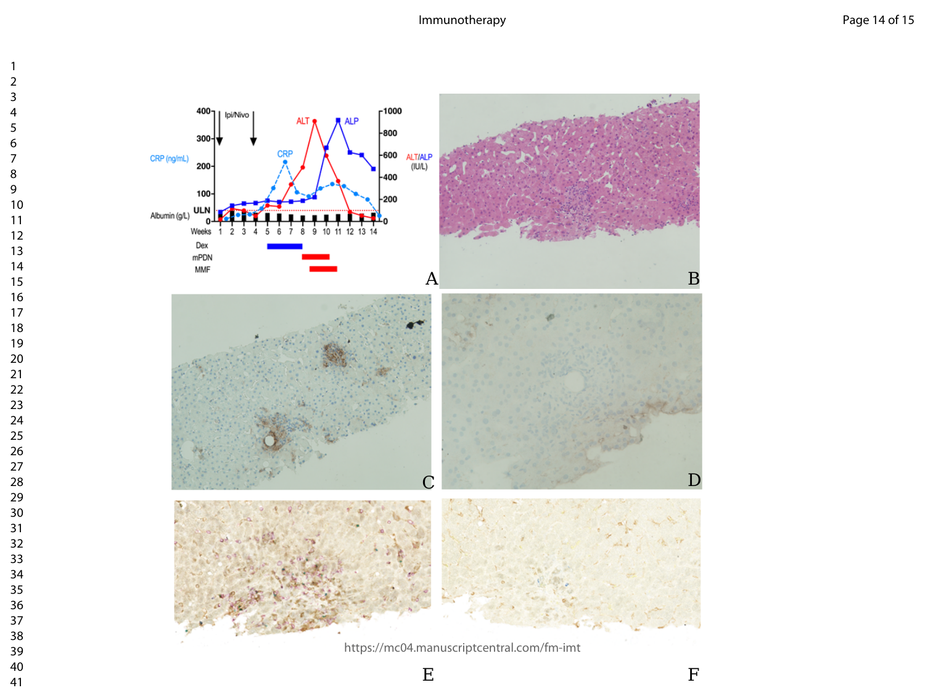